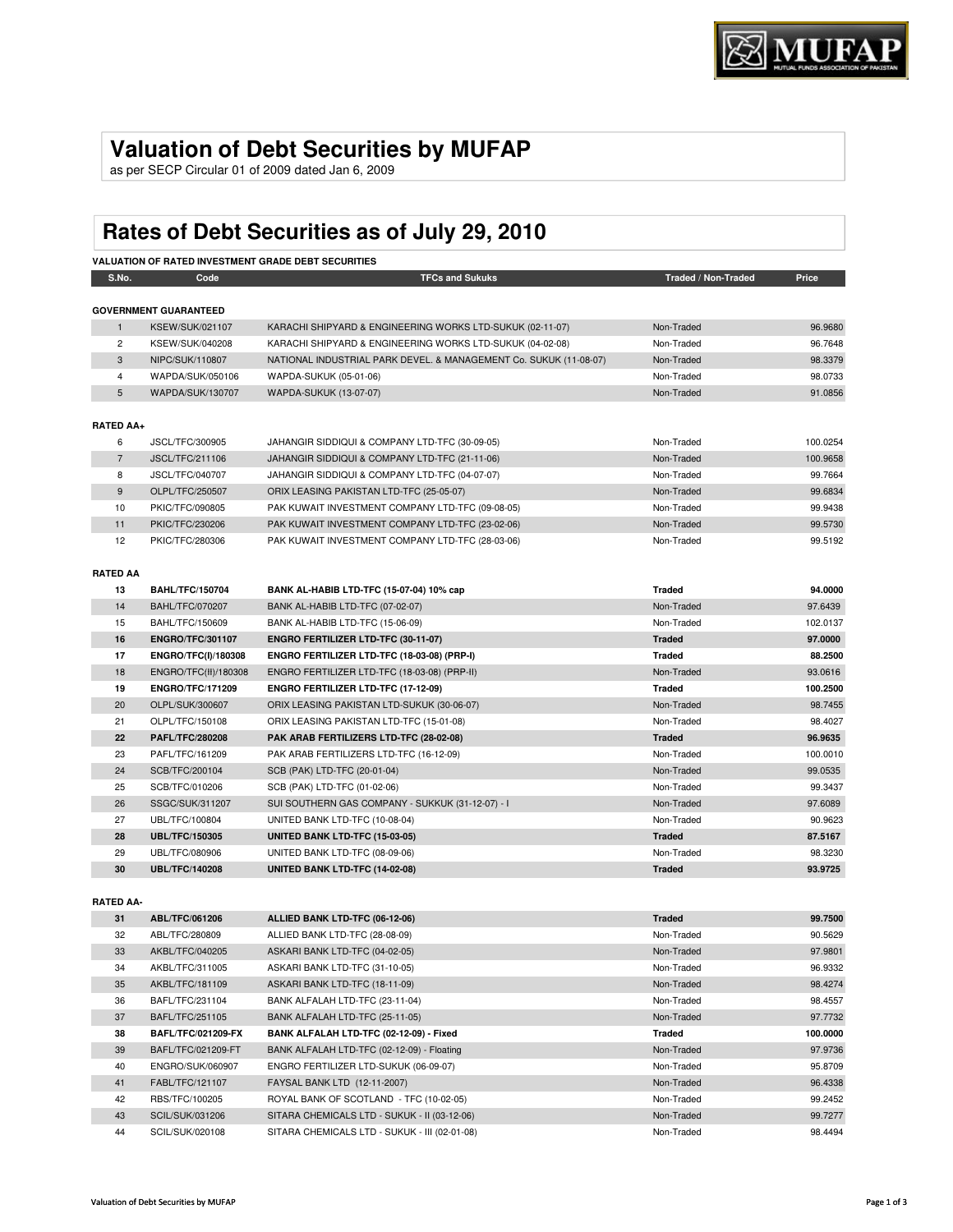# **Valuation of Debt Securities by MUFAP**

as per SECP Circular 01 of 2009 dated Jan 6, 2009

# **Rates of Debt Securities as of July 29, 2010**

| <b>VALUATION OF RATED INVESTMENT GRADE DEBT SECURITIES</b> |                              |                                                                   |                     |          |
|------------------------------------------------------------|------------------------------|-------------------------------------------------------------------|---------------------|----------|
| S.No.                                                      | Code                         | <b>TFCs and Sukuks</b>                                            | Traded / Non-Traded | Price    |
|                                                            | <b>GOVERNMENT GUARANTEED</b> |                                                                   |                     |          |
| $\mathbf{1}$                                               | <b>KSEW/SUK/021107</b>       | KARACHI SHIPYARD & ENGINEERING WORKS LTD-SUKUK (02-11-07)         | Non-Traded          | 96.9680  |
| $\overline{2}$                                             | KSEW/SUK/040208              | KARACHI SHIPYARD & ENGINEERING WORKS LTD-SUKUK (04-02-08)         | Non-Traded          | 96.7648  |
| $\mathbf{3}$                                               | NIPC/SUK/110807              | NATIONAL INDUSTRIAL PARK DEVEL. & MANAGEMENT Co. SUKUK (11-08-07) | Non-Traded          | 98.3379  |
| 4                                                          | WAPDA/SUK/050106             | WAPDA-SUKUK (05-01-06)                                            | Non-Traded          | 98.0733  |
| 5                                                          | WAPDA/SUK/130707             | <b>WAPDA-SUKUK (13-07-07)</b>                                     | Non-Traded          | 91.0856  |
|                                                            |                              |                                                                   |                     |          |
| <b>RATED AA+</b>                                           |                              |                                                                   |                     |          |
| 6                                                          | JSCL/TFC/300905              | JAHANGIR SIDDIQUI & COMPANY LTD-TFC (30-09-05)                    | Non-Traded          | 100.0254 |
| $\overline{7}$                                             | <b>JSCL/TFC/211106</b>       | JAHANGIR SIDDIQUI & COMPANY LTD-TFC (21-11-06)                    | Non-Traded          | 100.9658 |
| 8                                                          | JSCL/TFC/040707              | JAHANGIR SIDDIQUI & COMPANY LTD-TFC (04-07-07)                    | Non-Traded          | 99.7664  |
| $9\,$                                                      | OLPL/TFC/250507              | ORIX LEASING PAKISTAN LTD-TFC (25-05-07)                          | Non-Traded          | 99.6834  |
| 10                                                         | PKIC/TFC/090805              | PAK KUWAIT INVESTMENT COMPANY LTD-TFC (09-08-05)                  | Non-Traded          | 99.9438  |
| 11                                                         | PKIC/TFC/230206              | PAK KUWAIT INVESTMENT COMPANY LTD-TFC (23-02-06)                  | Non-Traded          | 99.5730  |
| 12                                                         | PKIC/TFC/280306              | PAK KUWAIT INVESTMENT COMPANY LTD-TFC (28-03-06)                  | Non-Traded          | 99.5192  |
|                                                            |                              |                                                                   |                     |          |
| <b>RATED AA</b>                                            |                              |                                                                   |                     |          |
| 13                                                         | <b>BAHL/TFC/150704</b>       | BANK AL-HABIB LTD-TFC (15-07-04) 10% cap                          | <b>Traded</b>       | 94.0000  |
| 14                                                         | <b>BAHL/TFC/070207</b>       | BANK AL-HABIB LTD-TFC (07-02-07)                                  | Non-Traded          | 97.6439  |
| 15                                                         | BAHL/TFC/150609              | BANK AL-HABIB LTD-TFC (15-06-09)                                  | Non-Traded          | 102.0137 |
| 16                                                         | <b>ENGRO/TFC/301107</b>      | ENGRO FERTILIZER LTD-TFC (30-11-07)                               | <b>Traded</b>       | 97.0000  |
| 17                                                         | ENGRO/TFC(I)/180308          | ENGRO FERTILIZER LTD-TFC (18-03-08) (PRP-I)                       | <b>Traded</b>       | 88.2500  |
| 18                                                         | ENGRO/TFC(II)/180308         | ENGRO FERTILIZER LTD-TFC (18-03-08) (PRP-II)                      | Non-Traded          | 93.0616  |
| 19                                                         | <b>ENGRO/TFC/171209</b>      | ENGRO FERTILIZER LTD-TFC (17-12-09)                               | <b>Traded</b>       | 100.2500 |
| 20                                                         | OLPL/SUK/300607              | ORIX LEASING PAKISTAN LTD-SUKUK (30-06-07)                        | Non-Traded          | 98.7455  |
| 21                                                         | OLPL/TFC/150108              | ORIX LEASING PAKISTAN LTD-TFC (15-01-08)                          | Non-Traded          | 98.4027  |
| 22                                                         | <b>PAFL/TFC/280208</b>       | PAK ARAB FERTILIZERS LTD-TFC (28-02-08)                           | <b>Traded</b>       | 96.9635  |
| 23                                                         | PAFL/TFC/161209              | PAK ARAB FERTILIZERS LTD-TFC (16-12-09)                           | Non-Traded          | 100.0010 |
| 24                                                         | SCB/TFC/200104               | SCB (PAK) LTD-TFC (20-01-04)                                      | Non-Traded          | 99.0535  |
| 25                                                         | SCB/TFC/010206               | SCB (PAK) LTD-TFC (01-02-06)                                      | Non-Traded          | 99.3437  |
| 26                                                         | SSGC/SUK/311207              | SUI SOUTHERN GAS COMPANY - SUKKUK (31-12-07) - I                  | Non-Traded          | 97.6089  |
| 27                                                         | UBL/TFC/100804               | UNITED BANK LTD-TFC (10-08-04)                                    | Non-Traded          | 90.9623  |
| 28                                                         | <b>UBL/TFC/150305</b>        | UNITED BANK LTD-TFC (15-03-05)                                    | <b>Traded</b>       | 87.5167  |
| 29                                                         | UBL/TFC/080906               | UNITED BANK LTD-TFC (08-09-06)                                    | Non-Traded          | 98.3230  |
| 30                                                         | <b>UBL/TFC/140208</b>        | UNITED BANK LTD-TFC (14-02-08)                                    | <b>Traded</b>       | 93.9725  |
|                                                            |                              |                                                                   |                     |          |
| <b>RATED AA-</b>                                           |                              |                                                                   |                     |          |
| 31                                                         | ABL/TFC/061206               | ALLIED BANK LTD-TFC (06-12-06)                                    | <b>Traded</b>       | 99.7500  |
| 32                                                         | ABL/TFC/280809               | ALLIED BANK LTD-TFC (28-08-09)                                    | Non-Traded          | 90.5629  |
| 33                                                         | AKBL/TFC/040205              | ASKARI BANK LTD-TFC (04-02-05)                                    | Non-Traded          | 97.9801  |
| 34                                                         | AKBL/TFC/311005              | ASKARI BANK LTD-TFC (31-10-05)                                    | Non-Traded          | 96.9332  |
| 35                                                         | AKBL/TFC/181109              | ASKARI BANK LTD-TFC (18-11-09)                                    | Non-Traded          | 98.4274  |
| 36                                                         | BAFL/TFC/231104              | BANK ALFALAH LTD-TFC (23-11-04)                                   | Non-Traded          | 98.4557  |
| 37                                                         | BAFL/TFC/251105              | BANK ALFALAH LTD-TFC (25-11-05)                                   | Non-Traded          | 97.7732  |
| 38                                                         | <b>BAFL/TFC/021209-FX</b>    | BANK ALFALAH LTD-TFC (02-12-09) - Fixed                           | <b>Traded</b>       | 100.0000 |
| 39                                                         | BAFL/TFC/021209-FT           | BANK ALFALAH LTD-TFC (02-12-09) - Floating                        | Non-Traded          | 97.9736  |

40 ENGRO/SUK/060907 ENGRO FERTILIZER LTD-SUKUK (06-09-07) Non-Traded 95.8709 41 FABL/TFC/121107 FAYSAL BANK LTD (12-11-2007) Non-Traded 96.4338 42 RBS/TFC/100205 ROYAL BANK OF SCOTLAND - TFC (10-02-05) Non-Traded Non-Traded 99.2452 43 SCIL/SUK/031206 SITARA CHEMICALS LTD - SUKUK - II (03-12-06) Non-Traded Non-Traded 99.7277 44 SCIL/SUK/020108 SITARA CHEMICALS LTD - SUKUK - III (02-01-08) Non-Traded Non-Traded 98.4494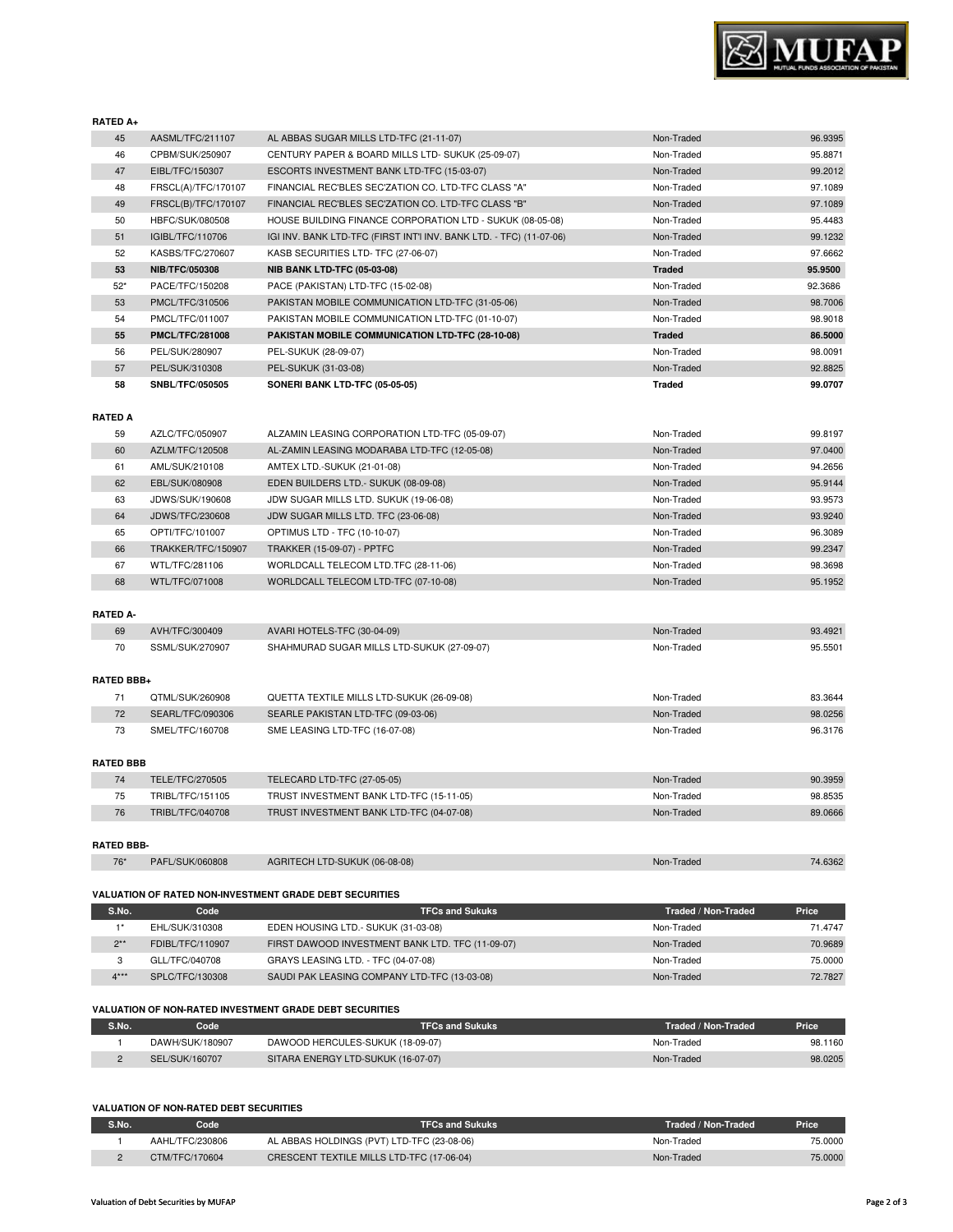

#### **RATED A+**

| 45             | AASML/TFC/211107       | AL ABBAS SUGAR MILLS LTD-TFC (21-11-07)                             | Non-Traded    | 96.9395 |
|----------------|------------------------|---------------------------------------------------------------------|---------------|---------|
| 46             | CPBM/SUK/250907        | CENTURY PAPER & BOARD MILLS LTD- SUKUK (25-09-07)                   | Non-Traded    | 95.8871 |
| 47             | EIBL/TFC/150307        | ESCORTS INVESTMENT BANK LTD-TFC (15-03-07)                          | Non-Traded    | 99.2012 |
| 48             | FRSCL(A)/TFC/170107    | FINANCIAL REC'BLES SEC'ZATION CO. LTD-TFC CLASS "A"                 | Non-Traded    | 97.1089 |
| 49             | FRSCL(B)/TFC/170107    | FINANCIAL REC'BLES SEC'ZATION CO. LTD-TFC CLASS "B"                 | Non-Traded    | 97.1089 |
| 50             | HBFC/SUK/080508        | HOUSE BUILDING FINANCE CORPORATION LTD - SUKUK (08-05-08)           | Non-Traded    | 95.4483 |
| 51             | IGIBL/TFC/110706       | IGI INV. BANK LTD-TFC (FIRST INT'I INV. BANK LTD. - TFC) (11-07-06) | Non-Traded    | 99.1232 |
| 52             | KASBS/TFC/270607       | KASB SECURITIES LTD- TFC (27-06-07)                                 | Non-Traded    | 97.6662 |
| 53             | <b>NIB/TFC/050308</b>  | <b>NIB BANK LTD-TFC (05-03-08)</b>                                  | <b>Traded</b> | 95.9500 |
| $52*$          | PACE/TFC/150208        | PACE (PAKISTAN) LTD-TFC (15-02-08)                                  | Non-Traded    | 92.3686 |
| 53             | PMCL/TFC/310506        | PAKISTAN MOBILE COMMUNICATION LTD-TFC (31-05-06)                    | Non-Traded    | 98.7006 |
| 54             | PMCL/TFC/011007        | PAKISTAN MOBILE COMMUNICATION LTD-TFC (01-10-07)                    | Non-Traded    | 98.9018 |
| 55             | <b>PMCL/TFC/281008</b> | PAKISTAN MOBILE COMMUNICATION LTD-TFC (28-10-08)                    | <b>Traded</b> | 86.5000 |
| 56             | PEL/SUK/280907         | PEL-SUKUK (28-09-07)                                                | Non-Traded    | 98.0091 |
| 57             | PEL/SUK/310308         | PEL-SUKUK (31-03-08)                                                | Non-Traded    | 92.8825 |
| 58             | SNBL/TFC/050505        | SONERI BANK LTD-TFC (05-05-05)                                      | <b>Traded</b> | 99.0707 |
|                |                        |                                                                     |               |         |
| <b>RATED A</b> |                        |                                                                     |               |         |
| 59             | AZLC/TFC/050907        | ALZAMIN LEASING CORPORATION LTD-TFC (05-09-07)                      | Non-Traded    | 99.8197 |
|                |                        |                                                                     |               |         |

| 59 | AZLC/TFC/050907    | ALZAMIN LEASING CORPORATION LTD-TFC (05-09-07) | Non-Traded | 99.8197 |
|----|--------------------|------------------------------------------------|------------|---------|
| 60 | AZLM/TFC/120508    | AL-ZAMIN LEASING MODARABA LTD-TFC (12-05-08)   | Non-Traded | 97.0400 |
| 61 | AML/SUK/210108     | AMTEX LTD.-SUKUK (21-01-08)                    | Non-Traded | 94.2656 |
| 62 | EBL/SUK/080908     | EDEN BUILDERS LTD.- SUKUK (08-09-08)           | Non-Traded | 95.9144 |
| 63 | JDWS/SUK/190608    | JDW SUGAR MILLS LTD. SUKUK (19-06-08)          | Non-Traded | 93.9573 |
| 64 | JDWS/TFC/230608    | JDW SUGAR MILLS LTD. TFC (23-06-08)            | Non-Traded | 93.9240 |
| 65 | OPTI/TFC/101007    | OPTIMUS LTD - TFC (10-10-07)                   | Non-Traded | 96.3089 |
| 66 | TRAKKER/TFC/150907 | <b>TRAKKER (15-09-07) - PPTFC</b>              | Non-Traded | 99.2347 |
| 67 | WTL/TFC/281106     | WORLDCALL TELECOM LTD.TFC (28-11-06)           | Non-Traded | 98.3698 |
| 68 | WTL/TFC/071008     | WORLDCALL TELECOM LTD-TFC (07-10-08)           | Non-Traded | 95.1952 |

# **RATED A-**

| 69 | AVH/TFC/300409  | AVARI HOTELS-TFC (30-04-09)                | Non-Traded | 93.4921 |
|----|-----------------|--------------------------------------------|------------|---------|
| 70 | SSML/SUK/270907 | SHAHMURAD SUGAR MILLS LTD-SUKUK (27-09-07) | Non-Traded | 95.5501 |

## **RATED BBB+**

|    | QTML/SUK/260908  | QUETTA TEXTILE MILLS LTD-SUKUK (26-09-08) | Non-Traded | 83.3644 |  |
|----|------------------|-------------------------------------------|------------|---------|--|
| 72 | SEARL/TFC/090306 | SEARLE PAKISTAN LTD-TFC (09-03-06)        | Non-Traded | 98.0256 |  |
| 73 | SMEL/TFC/160708  | SME LEASING LTD-TFC (16-07-08)            | Non-Traded | 96.3176 |  |
|    |                  |                                           |            |         |  |

# **RATED BBB**

| TRUST INVESTMENT BANK LTD-TFC (15-11-05)<br>Non-Traded<br>TRIBL/TFC/151105<br>75<br>TRUST INVESTMENT BANK LTD-TFC (04-07-08)<br>TRIBL/TFC/040708<br>Non-Traded<br>76 |         |
|----------------------------------------------------------------------------------------------------------------------------------------------------------------------|---------|
|                                                                                                                                                                      | 89.0666 |
|                                                                                                                                                                      | 98.8535 |
| TELECARD LTD-TFC (27-05-05)<br>TELE/TFC/270505<br>Non-Traded                                                                                                         | 90.3959 |

# 76\* PAFL/SUK/060808 AGRITECH LTD-SUKUK (06-08-08) Non-Traded Non-Traded 74.6362

#### **VALUATION OF RATED NON-INVESTMENT GRADE DEBT SECURITIES**

| S.No.      | Code             | <b>TFCs and Sukuks</b>                           | Traded / Non-Traded | Price   |
|------------|------------------|--------------------------------------------------|---------------------|---------|
|            | EHL/SUK/310308   | EDEN HOUSING LTD.- SUKUK (31-03-08)              | Non-Traded          | 71.4747 |
| $2**$<br>ے | FDIBL/TFC/110907 | FIRST DAWOOD INVESTMENT BANK LTD. TFC (11-09-07) | Non-Traded          | 70.9689 |
|            | GLL/TFC/040708   | GRAYS LEASING LTD. - TFC (04-07-08)              | Non-Traded          | 75,0000 |
| $4***$     | SPLC/TFC/130308  | SAUDI PAK LEASING COMPANY LTD-TFC (13-03-08)     | Non-Traded          | 72.7827 |

# **VALUATION OF NON-RATED INVESTMENT GRADE DEBT SECURITIES**

| S.No. | Code            | <b>TFCs and Sukuks</b>             | Traded / Non-Traded | Price   |
|-------|-----------------|------------------------------------|---------------------|---------|
|       | DAWH/SUK/180907 | DAWOOD HERCULES-SUKUK (18-09-07)   | Non-Traded          | 98.1160 |
|       | SEL/SUK/160707  | SITARA ENERGY LTD-SUKUK (16-07-07) | Non-Traded          | 98.0205 |

#### **VALUATION OF NON-RATED DEBT SECURITIES**

| S.No. | Code            | <b>TFCs and Sukuks</b>                     | Traded / Non-Traded | <b>Price</b> |
|-------|-----------------|--------------------------------------------|---------------------|--------------|
|       | AAHL/TFC/230806 | AL ABBAS HOLDINGS (PVT) LTD-TFC (23-08-06) | Non-Traded          | 75.0000      |
|       | CTM/TFC/170604  | CRESCENT TEXTILE MILLS LTD-TFC (17-06-04)  | Non-Traded          | 75,0000      |